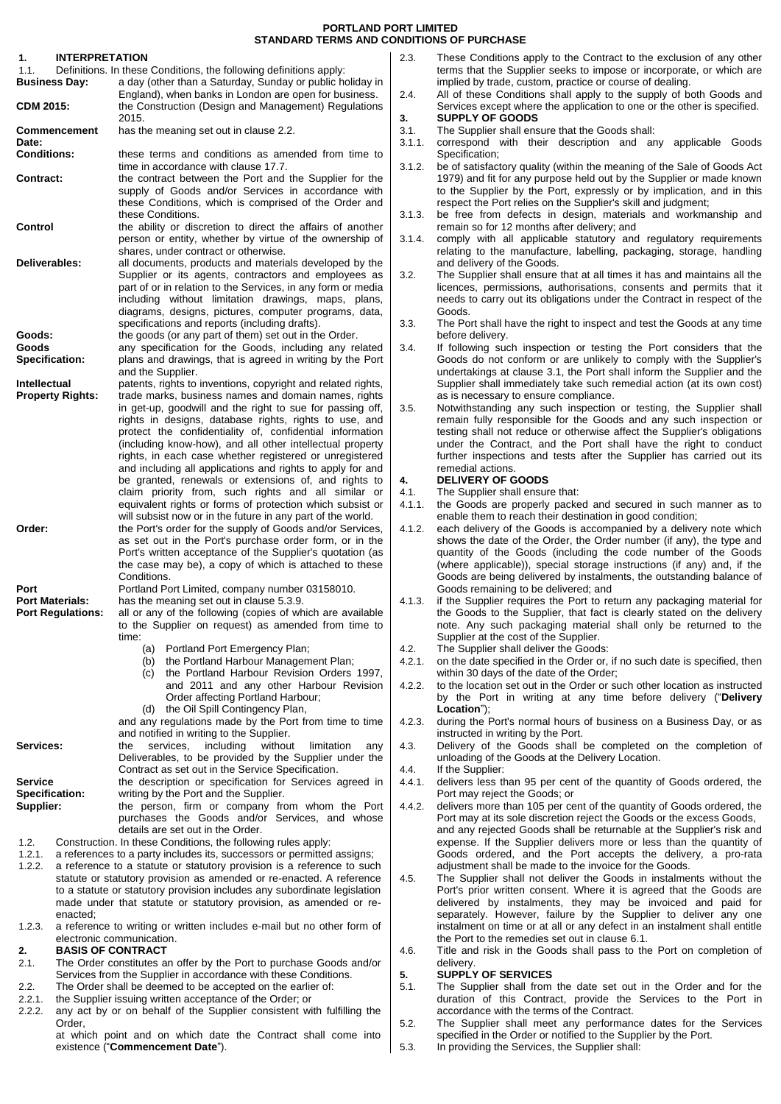| 1.<br>1.1.                                                 | <b>INTERPRETATION</b>   |                                                                                                                                               | 2.3.           | These                    |
|------------------------------------------------------------|-------------------------|-----------------------------------------------------------------------------------------------------------------------------------------------|----------------|--------------------------|
|                                                            | <b>Business Day:</b>    | Definitions. In these Conditions, the following definitions apply:<br>a day (other than a Saturday, Sunday or public holiday in               |                | terms<br>implied         |
|                                                            |                         | England), when banks in London are open for business.                                                                                         | 2.4.           | All of t                 |
| <b>CDM 2015:</b>                                           |                         | the Construction (Design and Management) Regulations                                                                                          |                | Servic                   |
|                                                            | <b>Commencement</b>     | 2015.<br>has the meaning set out in clause 2.2.                                                                                               | 3.<br>3.1.     | <b>SUPPI</b><br>The St   |
| Date:<br><b>Conditions:</b>                                |                         |                                                                                                                                               | 3.1.1.         | corres                   |
|                                                            |                         | these terms and conditions as amended from time to                                                                                            |                | Specifi                  |
| <b>Contract:</b>                                           |                         | time in accordance with clause 17.7.<br>the contract between the Port and the Supplier for the                                                | 3.1.2.         | be of s<br>1979)         |
|                                                            |                         | supply of Goods and/or Services in accordance with                                                                                            |                | to the                   |
|                                                            |                         | these Conditions, which is comprised of the Order and                                                                                         |                | respec                   |
| Control                                                    |                         | these Conditions.<br>the ability or discretion to direct the affairs of another                                                               | 3.1.3.         | be fre<br>remair         |
|                                                            |                         | person or entity, whether by virtue of the ownership of                                                                                       | 3.1.4.         | comply                   |
| Deliverables:                                              |                         | shares, under contract or otherwise.                                                                                                          |                | relating                 |
|                                                            |                         | all documents, products and materials developed by the<br>Supplier or its agents, contractors and employees as                                | 3.2.           | and de<br>The Sเ         |
|                                                            |                         | part of or in relation to the Services, in any form or media                                                                                  |                | licence                  |
|                                                            |                         | including without limitation drawings, maps, plans,                                                                                           |                | needs                    |
|                                                            |                         | diagrams, designs, pictures, computer programs, data,<br>specifications and reports (including drafts).                                       | 3.3.           | Goods<br>The Po          |
| Goods:                                                     |                         | the goods (or any part of them) set out in the Order.                                                                                         |                | before                   |
| Goods                                                      |                         | any specification for the Goods, including any related                                                                                        | 3.4.           | If follo                 |
|                                                            | <b>Specification:</b>   | plans and drawings, that is agreed in writing by the Port<br>and the Supplier.                                                                |                | Goods<br>undert          |
| <b>Intellectual</b>                                        |                         | patents, rights to inventions, copyright and related rights,                                                                                  |                | Suppli                   |
|                                                            | <b>Property Rights:</b> | trade marks, business names and domain names, rights                                                                                          |                | as is n                  |
|                                                            |                         | in get-up, goodwill and the right to sue for passing off,<br>rights in designs, database rights, rights to use, and                           | 3.5.           | Notwitl<br>remair        |
|                                                            |                         | protect the confidentiality of, confidential information                                                                                      |                | testing                  |
|                                                            |                         | (including know-how), and all other intellectual property                                                                                     |                | under                    |
|                                                            |                         | rights, in each case whether registered or unregistered<br>and including all applications and rights to apply for and                         |                | further<br>remed         |
|                                                            |                         | be granted, renewals or extensions of, and rights to                                                                                          | 4.             | <b>DELIV</b>             |
|                                                            |                         | claim priority from, such rights and all similar or                                                                                           | 4.1.           | The Sเ                   |
|                                                            |                         | equivalent rights or forms of protection which subsist or<br>will subsist now or in the future in any part of the world.                      | 4.1.1.         | the Go<br>enable         |
| Order:                                                     |                         | the Port's order for the supply of Goods and/or Services,                                                                                     | 4.1.2.         | each c                   |
|                                                            |                         | as set out in the Port's purchase order form, or in the                                                                                       |                | shows                    |
|                                                            |                         | Port's written acceptance of the Supplier's quotation (as<br>the case may be), a copy of which is attached to these                           |                | quantit<br>(where        |
|                                                            |                         | Conditions.                                                                                                                                   |                | Goods                    |
| Port<br><b>Port Materials:</b><br><b>Port Regulations:</b> |                         | Portland Port Limited, company number 03158010.                                                                                               |                | Goods                    |
|                                                            |                         | has the meaning set out in clause 5.3.9.<br>all or any of the following (copies of which are available                                        | 4.1.3.         | if the S<br>the Go       |
|                                                            |                         | to the Supplier on request) as amended from time to                                                                                           |                | note.                    |
|                                                            |                         | time:                                                                                                                                         |                | Suppli                   |
|                                                            |                         | Portland Port Emergency Plan;<br>(a)<br>the Portland Harbour Management Plan;<br>(b)                                                          | 4.2.<br>4.2.1. | The St<br>on the         |
|                                                            |                         | the Portland Harbour Revision Orders 1997,<br>(c)                                                                                             |                | within                   |
|                                                            |                         | and 2011 and any other Harbour Revision                                                                                                       | 4.2.2.         | to the                   |
|                                                            |                         | Order affecting Portland Harbour;<br>the Oil Spill Contingency Plan,<br>(d)                                                                   |                | by the<br>Locati         |
|                                                            |                         | and any regulations made by the Port from time to time                                                                                        | 4.2.3.         | during                   |
| Services:                                                  |                         | and notified in writing to the Supplier.<br>including                                                                                         |                | instruc<br><b>Delive</b> |
|                                                            |                         | without<br>limitation<br>the<br>services,<br>any<br>Deliverables, to be provided by the Supplier under the                                    | 4.3.           | unload                   |
|                                                            |                         | Contract as set out in the Service Specification.                                                                                             | 4.4.           | If the S                 |
| <b>Service</b>                                             |                         | the description or specification for Services agreed in                                                                                       | 4.4.1.         | deliver                  |
| <b>Specification:</b><br>Supplier:                         |                         | writing by the Port and the Supplier.<br>the person, firm or company from whom the Port                                                       | 4.4.2.         | Port m<br>deliver        |
|                                                            |                         | purchases the Goods and/or Services, and whose                                                                                                |                | Port m                   |
|                                                            |                         | details are set out in the Order.                                                                                                             |                | and ar                   |
| 1.2.<br>1.2.1.                                             |                         | Construction. In these Conditions, the following rules apply:<br>a references to a party includes its, successors or permitted assigns;       |                | expens<br>Goods          |
| 1.2.2.                                                     |                         | a reference to a statute or statutory provision is a reference to such                                                                        |                | adjustr                  |
|                                                            |                         | statute or statutory provision as amended or re-enacted. A reference                                                                          | 4.5.           | The S                    |
|                                                            |                         | to a statute or statutory provision includes any subordinate legislation<br>made under that statute or statutory provision, as amended or re- |                | Port's<br>deliver        |
|                                                            | enacted;                |                                                                                                                                               |                | separa                   |
| 1.2.3.                                                     |                         | a reference to writing or written includes e-mail but no other form of                                                                        |                | instalm                  |
| 2.                                                         |                         | electronic communication.<br><b>BASIS OF CONTRACT</b>                                                                                         | 4.6.           | the Po<br>Title a        |
| 2.1.                                                       |                         | The Order constitutes an offer by the Port to purchase Goods and/or                                                                           |                | deliver                  |
|                                                            |                         | Services from the Supplier in accordance with these Conditions.                                                                               | 5.             | <b>SUPPI</b>             |
| 2.2.<br>2.2.1.                                             |                         | The Order shall be deemed to be accepted on the earlier of:<br>the Supplier issuing written acceptance of the Order; or                       | 5.1.           | The S<br>duratic         |
| 2.2.2.                                                     |                         | any act by or on behalf of the Supplier consistent with fulfilling the                                                                        |                | accord                   |
|                                                            | Order,                  |                                                                                                                                               | 5.2.           | The S                    |

<span id="page-0-0"></span>at which point and on which date the Contract shall come into

existence ("**Commencement Date**").

Conditions apply to the Contract to the exclusion of any other that the Supplier seeks to impose or incorporate, or which are d by trade, custom, practice or course of dealing.

- these Conditions shall apply to the supply of both Goods and es except where the application to one or the other is specified. **3. SUPPLY OF GOODS**
- <span id="page-0-1"></span>3.1. The Supplier shall ensure that the Goods shall:
- pond with their description and any applicable Goods .<br>ication:
- atisfactory quality (within the meaning of the Sale of Goods Act and fit for any purpose held out by the Supplier or made known Supplier by the Port, expressly or by implication, and in this t the Port relies on the Supplier's skill and judgment;

e from defects in design, materials and workmanship and so for 12 months after delivery; and

- $\gamma$  with all applicable statutory and regulatory requirements g to the manufacture, labelling, packaging, storage, handling **alivery of the Goods.**
- upplier shall ensure that at all times it has and maintains all the es, permissions, authorisations, consents and permits that it to carry out its obligations under the Contract in respect of the Goods.
- ort shall have the right to inspect and test the Goods at any time delivery.
- wing such inspection or testing the Port considers that the do not conform or are unlikely to comply with the Supplier's akings at clause [3.1,](#page-0-1) the Port shall inform the Supplier and the er shall immediately take such remedial action (at its own cost) ecessary to ensure compliance.
- hstanding any such inspection or testing, the Supplier shall fully responsible for the Goods and any such inspection or shall not reduce or otherwise affect the Supplier's obligations the Contract, and the Port shall have the right to conduct inspections and tests after the Supplier has carried out its ial actions.

# **4. DELIVERY OF GOODS**

- upplier shall ensure that:
- 4.1.1. the Goods are properly packed and secured in such manner as to them to reach their destination in good condition;
- delivery of the Goods is accompanied by a delivery note which the date of the Order, the Order number (if any), the type and ty of the Goods (including the code number of the Goods applicable)), special storage instructions (if any) and, if the are being delivered by instalments, the outstanding balance of remaining to be delivered; and
- Supplier requires the Port to return any packaging material for bods to the Supplier, that fact is clearly stated on the delivery Any such packaging material shall only be returned to the er at the cost of the Supplier.
- 4.2. The Supplier shall deliver the Goods:
- date specified in the Order or, if no such date is specified, then 30 days of the date of the Order;
- location set out in the Order or such other location as instructed by the Port in writing at any time before delivery ("**Delivery lon**");
- the Port's normal hours of business on a Business Day, or as ted in writing by the Port.
- ry of the Goods shall be completed on the completion of ling of the Goods at the Delivery Location.
- supplier:
- s less than 95 per cent of the quantity of Goods ordered, the ay reject the Goods; or
- a.<sub>4</sub> is more than 105 per cent of the quantity of Goods ordered, the ay at its sole discretion reject the Goods or the excess Goods, and rejected Goods shall be returnable at the Supplier's risk and se. If the Supplier delivers more or less than the quantity of ordered, and the Port accepts the delivery, a pro-rata ment shall be made to the invoice for the Goods.
- upplier shall not deliver the Goods in instalments without the prior written consent. Where it is agreed that the Goods are delivered by instalments, they may be invoiced and paid for separately. However, failure by the Supplier to deliver any one nent on time or at all or any defect in an instalment shall entitle Int to the remedies set out in clause  $6.1$ .
- nd risk in the Goods shall pass to the Port on completion of delivery.

# **5. SUPPLY OF SERVICES**

- upplier shall from the date set out in the Order and for the on of this Contract, provide the Services to the Port in lance with the terms of the Contract.
- tupplier shall meet any performance dates for the Services specified in the Order or notified to the Supplier by the Port.
- 5.3. In providing the Services, the Supplier shall: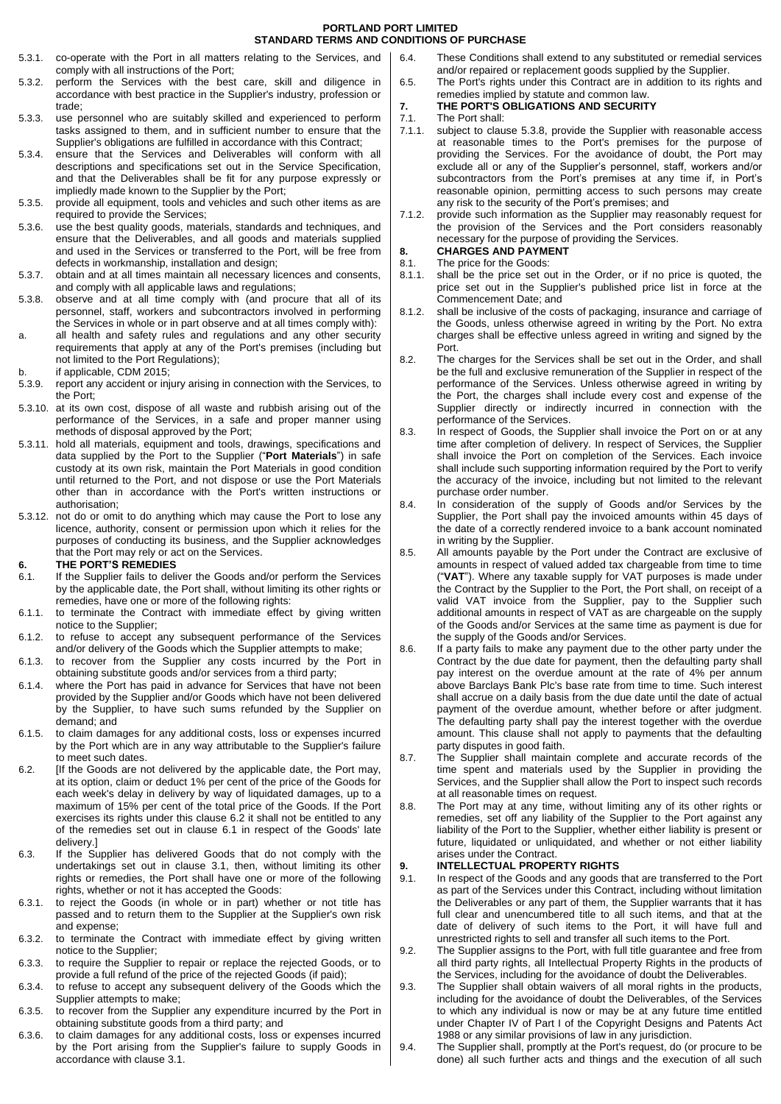- 5.3.1. co-operate with the Port in all matters relating to the Services, and comply with all instructions of the Port;
- 5.3.2. perform the Services with the best care, skill and diligence in accordance with best practice in the Supplier's industry, profession or trade;
- 5.3.3. use personnel who are suitably skilled and experienced to perform tasks assigned to them, and in sufficient number to ensure that the Supplier's obligations are fulfilled in accordance with this Contract;
- 5.3.4. ensure that the Services and Deliverables will conform with all descriptions and specifications set out in the Service Specification, and that the Deliverables shall be fit for any purpose expressly or impliedly made known to the Supplier by the Port;
- 5.3.5. provide all equipment, tools and vehicles and such other items as are required to provide the Services;
- 5.3.6. use the best quality goods, materials, standards and techniques, and ensure that the Deliverables, and all goods and materials supplied and used in the Services or transferred to the Port, will be free from defects in workmanship, installation and design;
- 5.3.7. obtain and at all times maintain all necessary licences and consents, and comply with all applicable laws and regulations;
- <span id="page-1-3"></span>5.3.8. observe and at all time comply with (and procure that all of its personnel, staff, workers and subcontractors involved in performing the Services in whole or in part observe and at all times comply with):
- a. all health and safety rules and regulations and any other security requirements that apply at any of the Port's premises (including but not limited to the Port Regulations);
- b. if applicable, CDM 2015;
- <span id="page-1-0"></span>5.3.9. report any accident or injury arising in connection with the Services, to the Port;
- 5.3.10. at its own cost, dispose of all waste and rubbish arising out of the performance of the Services, in a safe and proper manner using methods of disposal approved by the Port;
- 5.3.11. hold all materials, equipment and tools, drawings, specifications and data supplied by the Port to the Supplier ("**Port Materials**") in safe custody at its own risk, maintain the Port Materials in good condition until returned to the Port, and not dispose or use the Port Materials other than in accordance with the Port's written instructions or authorisation;
- 5.3.12. not do or omit to do anything which may cause the Port to lose any licence, authority, consent or permission upon which it relies for the purposes of conducting its business, and the Supplier acknowledges that the Port may rely or act on the Services.

# **6. THE PORT'S REMEDIES**

- <span id="page-1-1"></span>6.1. If the Supplier fails to deliver the Goods and/or perform the Services by the applicable date, the Port shall, without limiting its other rights or remedies, have one or more of the following rights:
- 6.1.1. to terminate the Contract with immediate effect by giving written notice to the Supplier;
- 6.1.2. to refuse to accept any subsequent performance of the Services and/or delivery of the Goods which the Supplier attempts to make;
- 6.1.3. to recover from the Supplier any costs incurred by the Port in obtaining substitute goods and/or services from a third party;
- 6.1.4. where the Port has paid in advance for Services that have not been provided by the Supplier and/or Goods which have not been delivered by the Supplier, to have such sums refunded by the Supplier on demand; and
- 6.1.5. to claim damages for any additional costs, loss or expenses incurred by the Port which are in any way attributable to the Supplier's failure to meet such dates.
- <span id="page-1-2"></span>6.2. [If the Goods are not delivered by the applicable date, the Port may, at its option, claim or deduct 1% per cent of the price of the Goods for each week's delay in delivery by way of liquidated damages, up to a maximum of 15% per cent of the total price of the Goods. If the Port exercises its rights under this clause [6.2](#page-1-2) it shall not be entitled to any of the remedies set out in clause [6.1](#page-1-1) in respect of the Goods' late delivery.]
- 6.3. If the Supplier has delivered Goods that do not comply with the undertakings set out in clause [3.1,](#page-0-1) then, without limiting its other rights or remedies, the Port shall have one or more of the following rights, whether or not it has accepted the Goods:
- 6.3.1. to reject the Goods (in whole or in part) whether or not title has passed and to return them to the Supplier at the Supplier's own risk and expense;
- 6.3.2. to terminate the Contract with immediate effect by giving written notice to the Supplier;
- 6.3.3. to require the Supplier to repair or replace the rejected Goods, or to provide a full refund of the price of the rejected Goods (if paid);
- 6.3.4. to refuse to accept any subsequent delivery of the Goods which the Supplier attempts to make:
- 6.3.5. to recover from the Supplier any expenditure incurred by the Port in obtaining substitute goods from a third party; and
- 6.3.6. to claim damages for any additional costs, loss or expenses incurred by the Port arising from the Supplier's failure to supply Goods in accordance with clause [3.1.](#page-0-1)
- 6.4. These Conditions shall extend to any substituted or remedial services and/or repaired or replacement goods supplied by the Supplier.
- 6.5. The Port's rights under this Contract are in addition to its rights and remedies implied by statute and common law.
- **7. THE PORT'S OBLIGATIONS AND SECURITY**
- 7.1. The Port shall:
- 7.1.1. subject to clause [5.3.8,](#page-1-3) provide the Supplier with reasonable access at reasonable times to the Port's premises for the purpose of providing the Services. For the avoidance of doubt, the Port may exclude all or any of the Supplier's personnel, staff, workers and/or subcontractors from the Port's premises at any time if, in Port's reasonable opinion, permitting access to such persons may create any risk to the security of the Port's premises; and
- 7.1.2. provide such information as the Supplier may reasonably request for the provision of the Services and the Port considers reasonably necessary for the purpose of providing the Services. **8. CHARGES AND PAYMENT**
- 
- 8.1. The price for the Goods:
- 8.1.1. shall be the price set out in the Order, or if no price is quoted, the price set out in the Supplier's published price list in force at the Commencement Date; and
- 8.1.2. shall be inclusive of the costs of packaging, insurance and carriage of the Goods, unless otherwise agreed in writing by the Port. No extra charges shall be effective unless agreed in writing and signed by the Port.
- 8.2. The charges for the Services shall be set out in the Order, and shall be the full and exclusive remuneration of the Supplier in respect of the performance of the Services. Unless otherwise agreed in writing by the Port, the charges shall include every cost and expense of the Supplier directly or indirectly incurred in connection with the performance of the Services.
- 8.3. In respect of Goods, the Supplier shall invoice the Port on or at any time after completion of delivery. In respect of Services, the Supplier shall invoice the Port on completion of the Services. Each invoice shall include such supporting information required by the Port to verify the accuracy of the invoice, including but not limited to the relevant purchase order number.
- 8.4. In consideration of the supply of Goods and/or Services by the Supplier, the Port shall pay the invoiced amounts within 45 days of the date of a correctly rendered invoice to a bank account nominated in writing by the Supplier.
- 8.5. All amounts payable by the Port under the Contract are exclusive of amounts in respect of valued added tax chargeable from time to time ("**VAT**"). Where any taxable supply for VAT purposes is made under the Contract by the Supplier to the Port, the Port shall, on receipt of a valid VAT invoice from the Supplier, pay to the Supplier such additional amounts in respect of VAT as are chargeable on the supply of the Goods and/or Services at the same time as payment is due for the supply of the Goods and/or Services.
- 8.6. If a party fails to make any payment due to the other party under the Contract by the due date for payment, then the defaulting party shall pay interest on the overdue amount at the rate of 4% per annum above Barclays Bank Plc's base rate from time to time. Such interest shall accrue on a daily basis from the due date until the date of actual payment of the overdue amount, whether before or after judgment. The defaulting party shall pay the interest together with the overdue amount. This clause shall not apply to payments that the defaulting party disputes in good faith.
- 8.7. The Supplier shall maintain complete and accurate records of the time spent and materials used by the Supplier in providing the Services, and the Supplier shall allow the Port to inspect such records at all reasonable times on request.
- 8.8. The Port may at any time, without limiting any of its other rights or remedies, set off any liability of the Supplier to the Port against any liability of the Port to the Supplier, whether either liability is present or future, liquidated or unliquidated, and whether or not either liability arises under the Contract.

# **9. INTELLECTUAL PROPERTY RIGHTS**

- 9.1. In respect of the Goods and any goods that are transferred to the Port as part of the Services under this Contract, including without limitation the Deliverables or any part of them, the Supplier warrants that it has full clear and unencumbered title to all such items, and that at the date of delivery of such items to the Port, it will have full and unrestricted rights to sell and transfer all such items to the Port.
- <span id="page-1-4"></span>9.2. The Supplier assigns to the Port, with full title guarantee and free from all third party rights, all Intellectual Property Rights in the products of the Services, including for the avoidance of doubt the Deliverables.
- 9.3. The Supplier shall obtain waivers of all moral rights in the products, including for the avoidance of doubt the Deliverables, of the Services to which any individual is now or may be at any future time entitled under Chapter IV of Part I of the Copyright Designs and Patents Act 1988 or any similar provisions of law in any jurisdiction.
- 9.4. The Supplier shall, promptly at the Port's request, do (or procure to be done) all such further acts and things and the execution of all such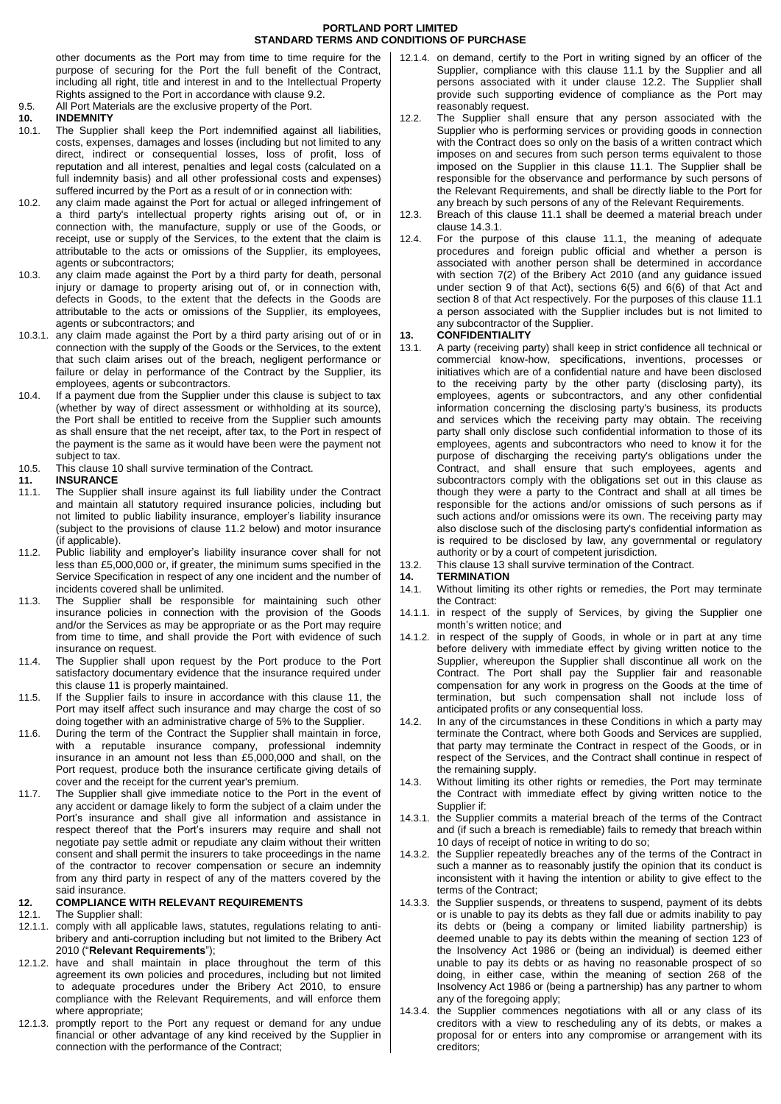other documents as the Port may from time to time require for the purpose of securing for the Port the full benefit of the Contract, including all right, title and interest in and to the Intellectual Property Rights assigned to the Port in accordance with claus[e 9.2.](#page-1-4)

9.5. All Port Materials are the exclusive property of the Port.

# <span id="page-2-0"></span>**10. INDEMNITY**

- The Supplier shall keep the Port indemnified against all liabilities, costs, expenses, damages and losses (including but not limited to any direct, indirect or consequential losses, loss of profit, loss of reputation and all interest, penalties and legal costs (calculated on a full indemnity basis) and all other professional costs and expenses) suffered incurred by the Port as a result of or in connection with:
- 10.2. any claim made against the Port for actual or alleged infringement of a third party's intellectual property rights arising out of, or in connection with, the manufacture, supply or use of the Goods, or receipt, use or supply of the Services, to the extent that the claim is attributable to the acts or omissions of the Supplier, its employees, agents or subcontractors;
- 10.3. any claim made against the Port by a third party for death, personal injury or damage to property arising out of, or in connection with, defects in Goods, to the extent that the defects in the Goods are attributable to the acts or omissions of the Supplier, its employees, agents or subcontractors; and
- 10.3.1. any claim made against the Port by a third party arising out of or in connection with the supply of the Goods or the Services, to the extent that such claim arises out of the breach, negligent performance or failure or delay in performance of the Contract by the Supplier, its employees, agents or subcontractors.
- 10.4. If a payment due from the Supplier under this clause is subject to tax (whether by way of direct assessment or withholding at its source), the Port shall be entitled to receive from the Supplier such amounts as shall ensure that the net receipt, after tax, to the Port in respect of the payment is the same as it would have been were the payment not subject to tax.
- 10.5. This claus[e 10](#page-2-0) shall survive termination of the Contract.

# <span id="page-2-2"></span>**11. INSURANCE**

- <span id="page-2-3"></span>11.1. The Supplier shall insure against its full liability under the Contract and maintain all statutory required insurance policies, including but not limited to public liability insurance, employer's liability insurance (subject to the provisions of clause [11.2](#page-2-1) below) and motor insurance (if applicable).
- <span id="page-2-1"></span>11.2. Public liability and employer's liability insurance cover shall for not less than £5,000,000 or, if greater, the minimum sums specified in the Service Specification in respect of any one incident and the number of incidents covered shall be unlimited.
- 11.3. The Supplier shall be responsible for maintaining such other insurance policies in connection with the provision of the Goods and/or the Services as may be appropriate or as the Port may require from time to time, and shall provide the Port with evidence of such insurance on request.
- 11.4. The Supplier shall upon request by the Port produce to the Port satisfactory documentary evidence that the insurance required under this claus[e 11](#page-2-2) is properly maintained.
- 11.5. If the Supplier fails to insure in accordance with this clause [11,](#page-2-2) the Port may itself affect such insurance and may charge the cost of so doing together with an administrative charge of 5% to the Supplier.
- 11.6. During the term of the Contract the Supplier shall maintain in force, with a reputable insurance company, professional indemnity insurance in an amount not less than £5,000,000 and shall, on the Port request, produce both the insurance certificate giving details of cover and the receipt for the current year's premium.
- 11.7. The Supplier shall give immediate notice to the Port in the event of any accident or damage likely to form the subject of a claim under the Port's insurance and shall give all information and assistance in respect thereof that the Port's insurers may require and shall not negotiate pay settle admit or repudiate any claim without their written consent and shall permit the insurers to take proceedings in the name of the contractor to recover compensation or secure an indemnity from any third party in respect of any of the matters covered by the said insurance.

# **12. COMPLIANCE WITH RELEVANT REQUIREMENTS**

## 12.1. The Supplier shall:

- 12.1.1. comply with all applicable laws, statutes, regulations relating to antibribery and anti-corruption including but not limited to the Bribery Act 2010 ("**Relevant Requirements**");
- 12.1.2. have and shall maintain in place throughout the term of this agreement its own policies and procedures, including but not limited to adequate procedures under the Bribery Act 2010, to ensure compliance with the Relevant Requirements, and will enforce them where appropriate;
- 12.1.3. promptly report to the Port any request or demand for any undue financial or other advantage of any kind received by the Supplier in connection with the performance of the Contract;
- 12.1.4. on demand, certify to the Port in writing signed by an officer of the Supplier, compliance with this clause [11.1](#page-2-3) by the Supplier and all persons associated with it under clause [12.2.](#page-2-4) The Supplier shall provide such supporting evidence of compliance as the Port may reasonably request.
- <span id="page-2-4"></span>12.2. The Supplier shall ensure that any person associated with the Supplier who is performing services or providing goods in connection with the Contract does so only on the basis of a written contract which imposes on and secures from such person terms equivalent to those imposed on the Supplier in this clause [11.1.](#page-2-3) The Supplier shall be responsible for the observance and performance by such persons of the Relevant Requirements, and shall be directly liable to the Port for any breach by such persons of any of the Relevant Requirements.
- 12.3. Breach of this clause [11.1](#page-2-3) shall be deemed a material breach under claus[e 14.3.1.](#page-2-5)
- 12.4. For the purpose of this clause [11.1,](#page-2-3) the meaning of adequate procedures and foreign public official and whether a person is associated with another person shall be determined in accordance with section 7(2) of the Bribery Act 2010 (and any guidance issued under section 9 of that Act), sections 6(5) and 6(6) of that Act and section 8 of that Act respectively. For the purposes of this claus[e 11.1](#page-2-3) a person associated with the Supplier includes but is not limited to any subcontractor of the Supplier.

## <span id="page-2-6"></span>**13. CONFIDENTIALITY**

- 13.1. A party (receiving party) shall keep in strict confidence all technical or commercial know-how, specifications, inventions, processes or initiatives which are of a confidential nature and have been disclosed to the receiving party by the other party (disclosing party), its employees, agents or subcontractors, and any other confidential information concerning the disclosing party's business, its products and services which the receiving party may obtain. The receiving party shall only disclose such confidential information to those of its employees, agents and subcontractors who need to know it for the purpose of discharging the receiving party's obligations under the Contract, and shall ensure that such employees, agents and subcontractors comply with the obligations set out in this clause as though they were a party to the Contract and shall at all times be responsible for the actions and/or omissions of such persons as if such actions and/or omissions were its own. The receiving party may also disclose such of the disclosing party's confidential information as is required to be disclosed by law, any governmental or regulatory authority or by a court of competent jurisdiction.
- 13.2. This clause [13](#page-2-6) shall survive termination of the Contract.
- **14. TERMINATION**
- 14.1. Without limiting its other rights or remedies, the Port may terminate the Contract:
- 14.1.1. in respect of the supply of Services, by giving the Supplier one month's written notice; and
- 14.1.2. in respect of the supply of Goods, in whole or in part at any time before delivery with immediate effect by giving written notice to the Supplier, whereupon the Supplier shall discontinue all work on the Contract. The Port shall pay the Supplier fair and reasonable compensation for any work in progress on the Goods at the time of termination, but such compensation shall not include loss of anticipated profits or any consequential loss.
- 14.2. In any of the circumstances in these Conditions in which a party may terminate the Contract, where both Goods and Services are supplied, that party may terminate the Contract in respect of the Goods, or in respect of the Services, and the Contract shall continue in respect of the remaining supply.
- 14.3. Without limiting its other rights or remedies, the Port may terminate the Contract with immediate effect by giving written notice to the Supplier if:
- <span id="page-2-5"></span>14.3.1. the Supplier commits a material breach of the terms of the Contract and (if such a breach is remediable) fails to remedy that breach within 10 days of receipt of notice in writing to do so;
- 14.3.2. the Supplier repeatedly breaches any of the terms of the Contract in such a manner as to reasonably justify the opinion that its conduct is inconsistent with it having the intention or ability to give effect to the terms of the Contract;
- <span id="page-2-7"></span>14.3.3. the Supplier suspends, or threatens to suspend, payment of its debts or is unable to pay its debts as they fall due or admits inability to pay its debts or (being a company or limited liability partnership) is deemed unable to pay its debts within the meaning of section 123 of the Insolvency Act 1986 or (being an individual) is deemed either unable to pay its debts or as having no reasonable prospect of so doing, in either case, within the meaning of section 268 of the Insolvency Act 1986 or (being a partnership) has any partner to whom any of the foregoing apply;
- 14.3.4. the Supplier commences negotiations with all or any class of its creditors with a view to rescheduling any of its debts, or makes a proposal for or enters into any compromise or arrangement with its creditors;